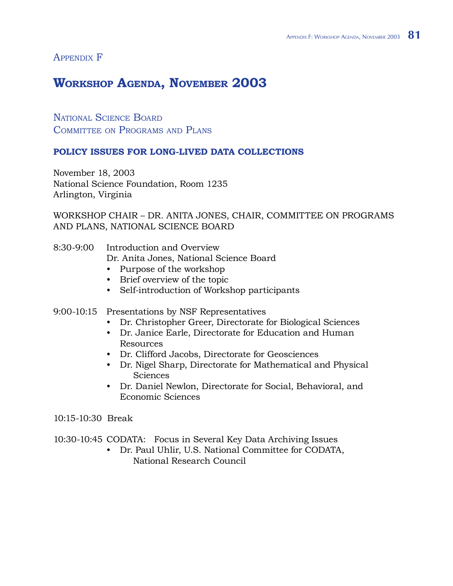Appendix F

## **Workshop Agenda, November 2003**

NATIONAL SCIENCE BOARD COMMITTEE ON PROGRAMS AND PLANS

## **Policy Issues for Long-Lived Data Collections**

November 18, 2003 National Science Foundation, Room 1235 Arlington, Virginia

WORKSHOP CHAIR – DR. ANITA JONES, CHAIR, COMMITTEE ON PROGRAMS AND PLANS, NATIONAL SCIENCE BOARD

- 8:30-9:00 Introduction and Overview Dr. Anita Jones, National Science Board
	- Purpose of the workshop •
	- Brief overview of the topic
	- Self-introduction of Workshop participants
- 9:00-10:15 Presentations by NSF Representatives
	- Dr. Christopher Greer, Directorate for Biological Sciences
	- Dr. Janice Earle, Directorate for Education and Human Resources
	- Dr. Clifford Jacobs, Directorate for Geosciences
	- Dr. Nigel Sharp, Directorate for Mathematical and Physical **Sciences**
	- Dr. Daniel Newlon, Directorate for Social, Behavioral, and Economic Sciences

10:15-10:30 Break

10:30-10:45 CODATA: Focus in Several Key Data Archiving Issues

• Dr. Paul Uhlir, U.S. National Committee for CODATA, National Research Council